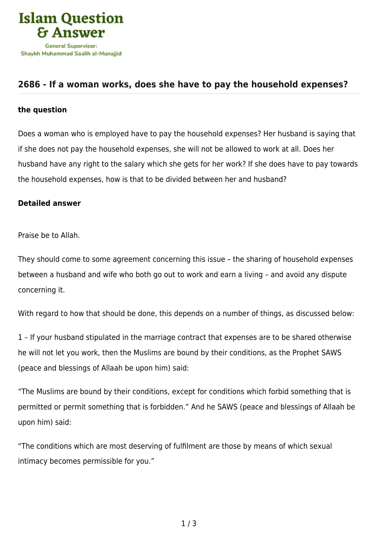

## **[2686 - If a woman works, does she have to pay the household expenses?](https://islamqa.com/en/answers/2686/if-a-woman-works-does-she-have-to-pay-the-household-expenses)**

## **the question**

Does a woman who is employed have to pay the household expenses? Her husband is saying that if she does not pay the household expenses, she will not be allowed to work at all. Does her husband have any right to the salary which she gets for her work? If she does have to pay towards the household expenses, how is that to be divided between her and husband?

## **Detailed answer**

Praise be to Allah.

They should come to some agreement concerning this issue – the sharing of household expenses between a husband and wife who both go out to work and earn a living – and avoid any dispute concerning it.

With regard to how that should be done, this depends on a number of things, as discussed below:

1 – If your husband stipulated in the marriage contract that expenses are to be shared otherwise he will not let you work, then the Muslims are bound by their conditions, as the Prophet SAWS (peace and blessings of Allaah be upon him) said:

"The Muslims are bound by their conditions, except for conditions which forbid something that is permitted or permit something that is forbidden." And he SAWS (peace and blessings of Allaah be upon him) said:

"The conditions which are most deserving of fulfilment are those by means of which sexual intimacy becomes permissible for you."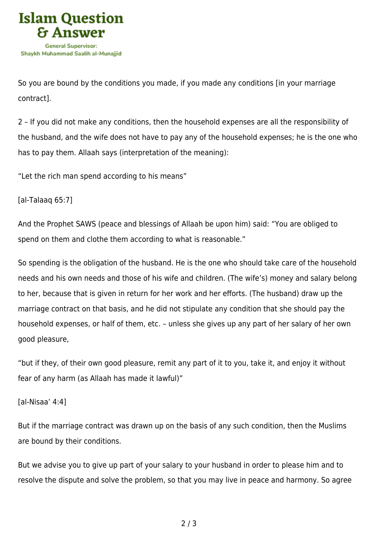

So you are bound by the conditions you made, if you made any conditions [in your marriage contract].

2 – If you did not make any conditions, then the household expenses are all the responsibility of the husband, and the wife does not have to pay any of the household expenses; he is the one who has to pay them. Allaah says (interpretation of the meaning):

"Let the rich man spend according to his means"

[al-Talaaq 65:7]

And the Prophet SAWS (peace and blessings of Allaah be upon him) said: "You are obliged to spend on them and clothe them according to what is reasonable."

So spending is the obligation of the husband. He is the one who should take care of the household needs and his own needs and those of his wife and children. (The wife's) money and salary belong to her, because that is given in return for her work and her efforts. (The husband) draw up the marriage contract on that basis, and he did not stipulate any condition that she should pay the household expenses, or half of them, etc. – unless she gives up any part of her salary of her own good pleasure,

"but if they, of their own good pleasure, remit any part of it to you, take it, and enjoy it without fear of any harm (as Allaah has made it lawful)"

[al-Nisaa' 4:4]

But if the marriage contract was drawn up on the basis of any such condition, then the Muslims are bound by their conditions.

But we advise you to give up part of your salary to your husband in order to please him and to resolve the dispute and solve the problem, so that you may live in peace and harmony. So agree